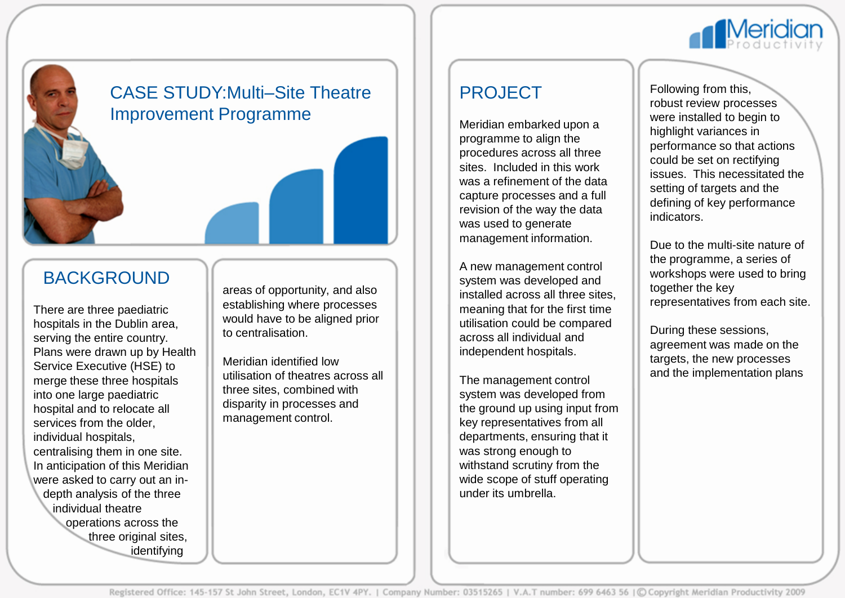

## CASE STUDY:Multi–Site Theatre Improvement Programme

### BACKGROUND

There are three paediatric hospitals in the Dublin area, serving the entire country. Plans were drawn up by Health Service Executive (HSE) to merge these three hospitals into one large paediatric hospital and to relocate all services from the older, individual hospitals, centralising them in one site. In anticipation of this Meridian were asked to carry out an in depth analysis of the three individual theatre operations across the three original sites, identifying

areas of opportunity, and also establishing where processes would have to be aligned prior to centralisation.

Meridian identified low utilisation of theatres across all three sites, combined with disparity in processes and management control.

### PROJECT

Meridian embarked upon a programme to align the procedures across all three sites. Included in this work was a refinement of the data capture processes and a full revision of the way the data was used to generate management information.

A new management control system was developed and installed across all three sites, meaning that for the first time utilisation could be compared across all individual and independent hospitals.

The management control system was developed from the ground up using input from key representatives from all departments, ensuring that it was strong enough to withstand scrutiny from the wide scope of stuff operating under its umbrella.

Following from this, robust review processes were installed to begin to highlight variances in performance so that actions could be set on rectifying issues. This necessitated the setting of targets and the defining of key performance indicators.

Due to the multi-site nature of the programme, a series of workshops were used to bring together the key representatives from each site.

During these sessions, agreement was made on the targets, the new processes and the implementation plans